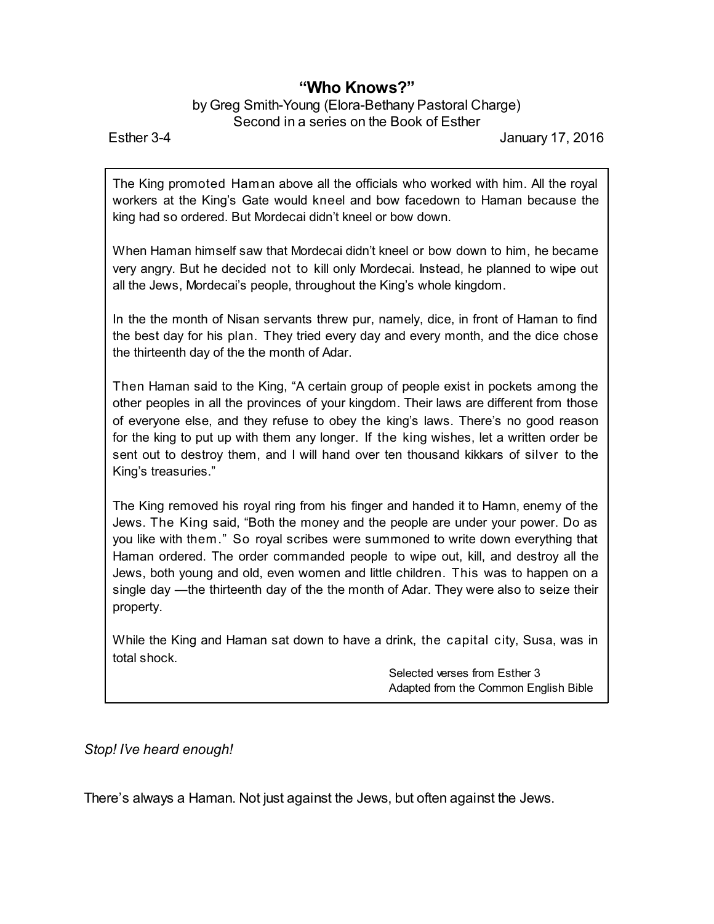## **"Who Knows?"**

## by Greg Smith-Young (Elora-Bethany Pastoral Charge) Second in a series on the Book of Esther

Esther 3-4 January 17, 2016

The King promoted Haman above all the officials who worked with him. All the royal workers at the King's Gate would kneel and bow facedown to Haman because the king had so ordered. But Mordecai didn't kneel or bow down.

When Haman himself saw that Mordecai didn't kneel or bow down to him, he became very angry. But he decided not to kill only Mordecai. Instead, he planned to wipe out all the Jews, Mordecai's people, throughout the King's whole kingdom.

In the the month of Nisan servants threw pur, namely, dice, in front of Haman to find the best day for his plan. They tried every day and every month, and the dice chose the thirteenth day of the the month of Adar.

Then Haman said to the King, "A certain group of people exist in pockets among the other peoples in all the provinces of your kingdom. Their laws are different from those of everyone else, and they refuse to obey the king's laws. There's no good reason for the king to put up with them any longer. If the king wishes, let a written order be sent out to destroy them, and I will hand over ten thousand kikkars of silver to the King's treasuries."

The King removed his royal ring from his finger and handed it to Hamn, enemy of the Jews. The King said, "Both the money and the people are under your power. Do as you like with them." So royal scribes were summoned to write down everything that Haman ordered. The order commanded people to wipe out, kill, and destroy all the Jews, both young and old, even women and little children. This was to happen on a single day —the thirteenth day of the the month of Adar. They were also to seize their property.

While the King and Haman sat down to have a drink, the capital city, Susa, was in total shock.

> Selected verses from Esther 3 Adapted from the Common English Bible

*Stop! I've heard enough!*

There's always a Haman. Not just against the Jews, but often against the Jews.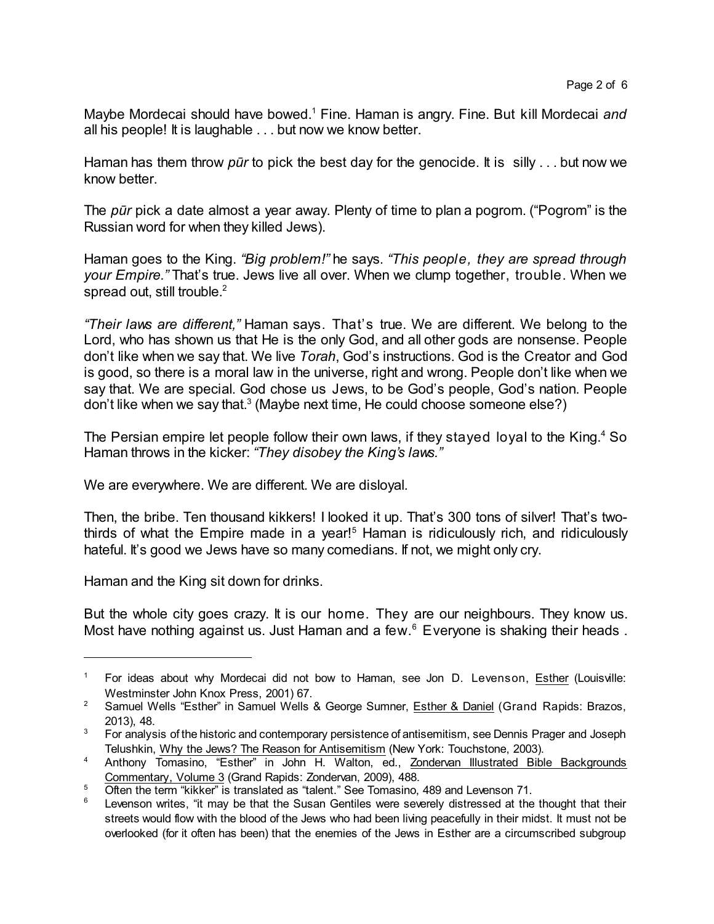Maybe Mordecai should have bowed.<sup>1</sup> Fine. Haman is angry. Fine. But kill Mordecai *and* all his people! It is laughable . . . but now we know better.

Haman has them throw *pûr* to pick the best day for the genocide. It is silly . . . but now we know better.

The *pûr* pick a date almost a year away. Plenty of time to plan a pogrom. ("Pogrom" is the Russian word for when they killed Jews).

Haman goes to the King. *"Big problem!"* he says. *"This people, they are spread through your Empire."* That's true. Jews live all over. When we clump together, trouble. When we spread out, still trouble.<sup>2</sup>

*"Their laws are different,"* Haman says. That's true. We are different. We belong to the Lord, who has shown us that He is the only God, and all other gods are nonsense. People don't like when we say that. We live *Torah*, God's instructions. God is the Creator and God is good, so there is a moral law in the universe, right and wrong. People don't like when we say that. We are special. God chose us Jews, to be God's people, God's nation. People don't like when we say that.<sup>3</sup> (Maybe next time, He could choose someone else?)

The Persian empire let people follow their own laws, if they stayed loyal to the King.<sup>4</sup> So Haman throws in the kicker: *"They disobey the King's laws."*

We are everywhere. We are different. We are disloyal.

Then, the bribe. Ten thousand kikkers! I looked it up. That's 300 tons of silver! That's twothirds of what the Empire made in a year!<sup>5</sup> Haman is ridiculously rich, and ridiculously hateful. It's good we Jews have so many comedians. If not, we might only cry.

Haman and the King sit down for drinks.

But the whole city goes crazy. It is our home. They are our neighbours. They know us. Most have nothing against us. Just Haman and a few.<sup>6</sup> Everyone is shaking their heads.

<sup>&</sup>lt;sup>1</sup> For ideas about why Mordecai did not bow to Haman, see Jon D. Levenson, Esther (Louisville: Westminster John Knox Press, 2001) 67.

<sup>&</sup>lt;sup>2</sup> Samuel Wells "Esther" in Samuel Wells & George Sumner, **Esther & Daniel (Grand Rapids: Brazos**, 2013), 48.

<sup>&</sup>lt;sup>3</sup> For analysis of the historic and contemporary persistence of antisemitism, see Dennis Prager and Joseph Telushkin, Why the Jews? The Reason for Antisemitism (New York: Touchstone, 2003).

<sup>&</sup>lt;sup>4</sup> Anthony Tomasino, "Esther" in John H. Walton, ed., Zondervan Illustrated Bible Backgrounds Commentary, Volume 3 (Grand Rapids: Zondervan, 2009), 488.

<sup>&</sup>lt;sup>5</sup> Often the term "kikker" is translated as "talent." See Tomasino, 489 and Levenson 71.

Levenson writes, "it may be that the Susan Gentiles were severely distressed at the thought that their streets would flow with the blood of the Jews who had been living peacefully in their midst. It must not be overlooked (for it often has been) that the enemies of the Jews in Esther are a circumscribed subgroup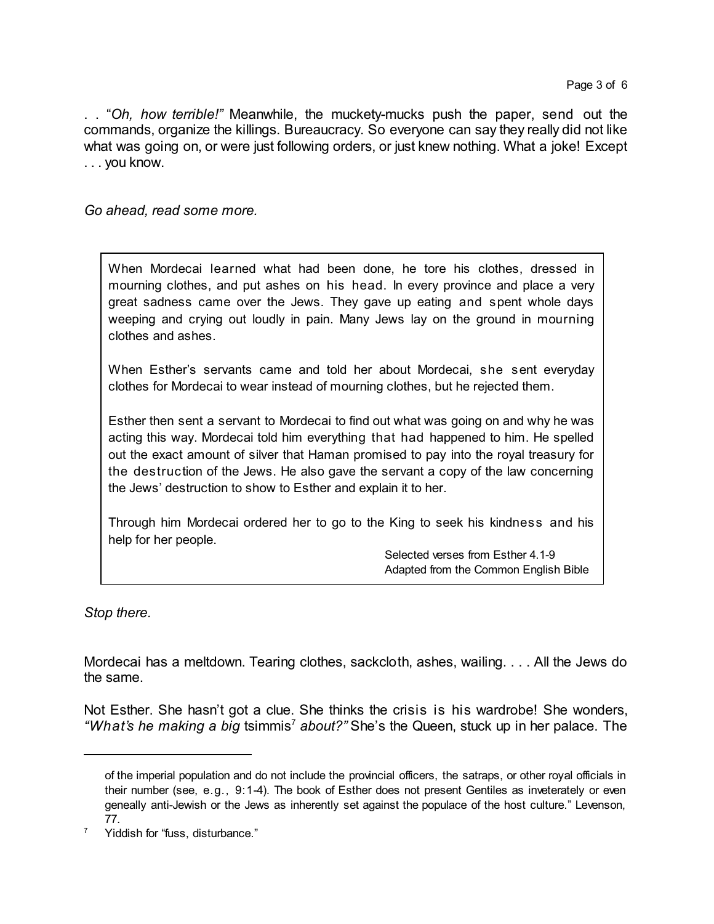. . "*Oh, how terrible!"* Meanwhile, the muckety-mucks push the paper, send out the commands, organize the killings. Bureaucracy. So everyone can say they really did not like what was going on, or were just following orders, or just knew nothing. What a joke! Except . . . you know.

*Go ahead, read some more.*

When Mordecai learned what had been done, he tore his clothes, dressed in mourning clothes, and put ashes on his head. In every province and place a very great sadness came over the Jews. They gave up eating and spent whole days weeping and crying out loudly in pain. Many Jews lay on the ground in mourning clothes and ashes.

When Esther's servants came and told her about Mordecai, she sent everyday clothes for Mordecai to wear instead of mourning clothes, but he rejected them.

Esther then sent a servant to Mordecai to find out what was going on and why he was acting this way. Mordecai told him everything that had happened to him. He spelled out the exact amount of silver that Haman promised to pay into the royal treasury for the destruction of the Jews. He also gave the servant a copy of the law concerning the Jews' destruction to show to Esther and explain it to her.

Through him Mordecai ordered her to go to the King to seek his kindness and his help for her people.

> Selected verses from Esther 4.1-9 Adapted from the Common English Bible

*Stop there.*

Mordecai has a meltdown. Tearing clothes, sackcloth, ashes, wailing. . . . All the Jews do the same.

Not Esther. She hasn't got a clue. She thinks the crisis is his wardrobe! She wonders, *"What's he making a big* tsimmis <sup>7</sup> *about?"* She's the Queen, stuck up in her palace. The

of the imperial population and do not include the provincial officers, the satraps, or other royal officials in their number (see, e.g., 9:1-4). The book of Esther does not present Gentiles as inveterately or even geneally anti-Jewish or the Jews as inherently set against the populace of the host culture." Levenson, 77.

<sup>&</sup>lt;sup>7</sup> Yiddish for "fuss, disturbance."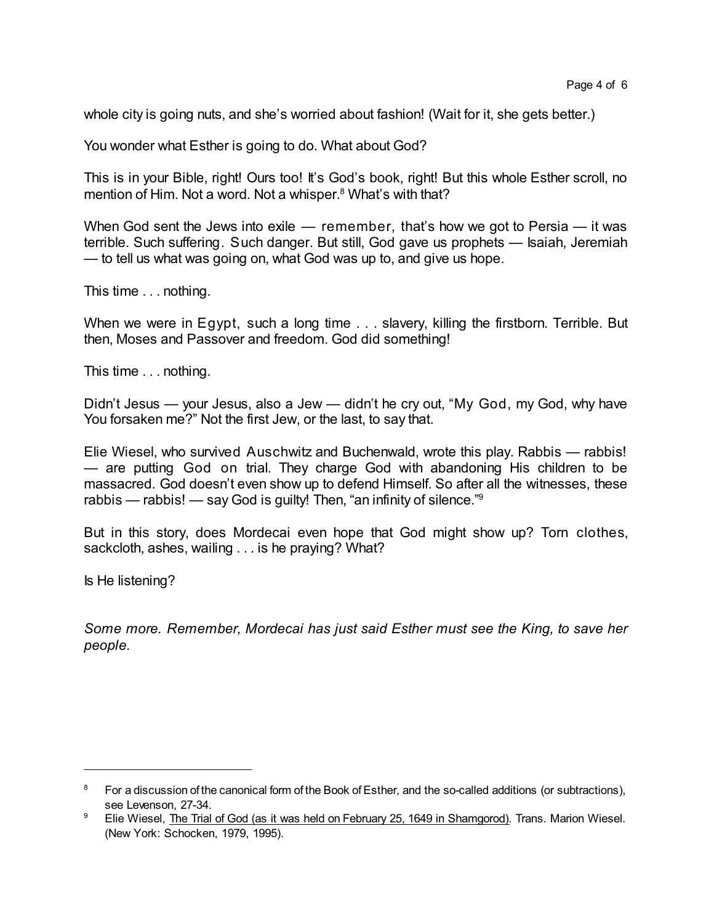whole city is going nuts, and she's worried about fashion! (Wait for it, she gets better.)

You wonder what Esther is going to do. What about God?

This is in your Bible, right! Ours too! It's God's book, right! But this whole Esther scroll, no mention of Him. Not a word. Not a whisper. <sup>8</sup> What's with that?

When God sent the Jews into exile — remember, that's how we got to Persia — it was terrible. Such suffering. Such danger. But still, God gave us prophets — Isaiah, Jeremiah — to tell us what was going on, what God was up to, and give us hope.

This time . . . nothing.

When we were in Egypt, such a long time . . . slavery, killing the firstborn. Terrible. But then, Moses and Passover and freedom. God did something!

This time . . . nothing.

Didn't Jesus — your Jesus, also a Jew — didn't he cry out, "My God, my God, why have You forsaken me?" Not the first Jew, or the last, to say that.

Elie Wiesel, who survived Auschwitz and Buchenwald, wrote this play. Rabbis — rabbis! — are putting God on trial. They charge God with abandoning His children to be massacred. God doesn't even show up to defend Himself. So after all the witnesses, these rabbis — rabbis! — say God is guilty! Then, "an infinity of silence."<sup>9</sup>

But in this story, does Mordecai even hope that God might show up? Torn clothes, sackcloth, ashes, wailing . . . is he praying? What?

Is He listening?

*Some more. Remember, Mordecai has just said Esther must see the King, to save her people.*

<sup>8</sup> For a discussion of the canonical form of the Book of Esther, and the so-called additions (or subtractions), see Levenson, 27-34.

<sup>&</sup>lt;sup>9</sup> Elie Wiesel, The Trial of God (as it was held on February 25, 1649 in Shamgorod). Trans. Marion Wiesel. (New York: Schocken, 1979, 1995).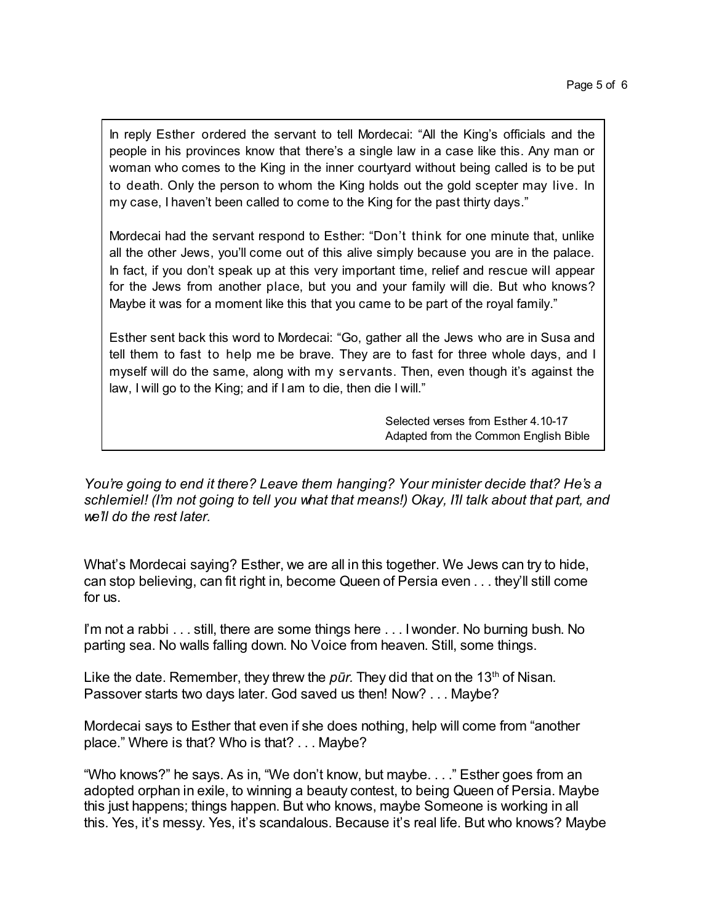In reply Esther ordered the servant to tell Mordecai: "All the King's officials and the people in his provinces know that there's a single law in a case like this. Any man or woman who comes to the King in the inner courtyard without being called is to be put to death. Only the person to whom the King holds out the gold scepter may live. In my case, I haven't been called to come to the King for the past thirty days."

Mordecai had the servant respond to Esther: "Don't think for one minute that, unlike all the other Jews, you'll come out of this alive simply because you are in the palace. In fact, if you don't speak up at this very important time, relief and rescue will appear for the Jews from another place, but you and your family will die. But who knows? Maybe it was for a moment like this that you came to be part of the royal family."

Esther sent back this word to Mordecai: "Go, gather all the Jews who are in Susa and tell them to fast to help me be brave. They are to fast for three whole days, and I myself will do the same, along with my servants. Then, even though it's against the law, I will go to the King; and if I am to die, then die I will."

> Selected verses from Esther 4.10-17 Adapted from the Common English Bible

*You're going to end it there? Leave them hanging? Your minister decide that? He's a schlemiel! (I'm not going to tell you what that means!) Okay, I'll talk about that part, and we'll do the rest later.*

What's Mordecai saying? Esther, we are all in this together. We Jews can try to hide, can stop believing, can fit right in, become Queen of Persia even . . . they'll still come for us.

I'm not a rabbi . . . still, there are some things here . . . I wonder. No burning bush. No parting sea. No walls falling down. No Voice from heaven. Still, some things.

Like the date. Remember, they threw the *pūr*. They did that on the 13<sup>th</sup> of Nisan. Passover starts two days later. God saved us then! Now? . . . Maybe?

Mordecai says to Esther that even if she does nothing, help will come from "another place." Where is that? Who is that? . . . Maybe?

"Who knows?" he says. As in, "We don't know, but maybe. . . ." Esther goes from an adopted orphan in exile, to winning a beauty contest, to being Queen of Persia. Maybe this just happens; things happen. But who knows, maybe Someone is working in all this. Yes, it's messy. Yes, it's scandalous. Because it's real life. But who knows? Maybe